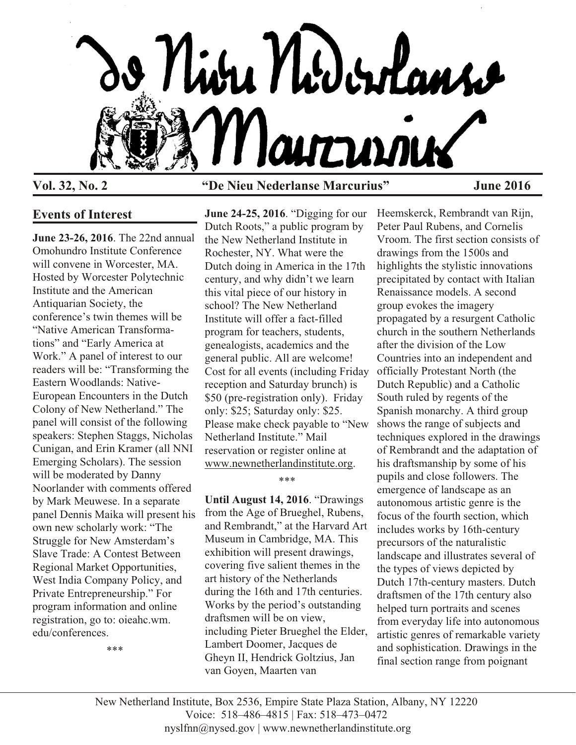

## **Events of Interest**

**June 23-26, 2016**. The 22nd annual Omohundro Institute Conference will convene in Worcester, MA. Hosted by Worcester Polytechnic Institute and the American Antiquarian Society, the conference's twin themes will be "Native American Transformations" and "Early America at Work." A panel of interest to our readers will be: "Transforming the Eastern Woodlands: Native-European Encounters in the Dutch Colony of New Netherland." The panel will consist of the following speakers: Stephen Staggs, Nicholas Cunigan, and Erin Kramer (all NNI Emerging Scholars). The session will be moderated by Danny Noorlander with comments offered by Mark Meuwese. In a separate panel Dennis Maika will present his own new scholarly work: "The Struggle for New Amsterdam's Slave Trade: A Contest Between Regional Market Opportunities, West India Company Policy, and Private Entrepreneurship." For program information and online registration, go to: oieahc.wm. edu/conferences.

\*\*\*

# **Vol. 32, No. 2 "De Nieu Nederlanse Marcurius" June 2016**

**June 24-25, 2016**. "Digging for our Dutch Roots," a public program by the New Netherland Institute in Rochester, NY. What were the Dutch doing in America in the 17th century, and why didn't we learn this vital piece of our history in school? The New Netherland Institute will offer a fact-filled program for teachers, students, genealogists, academics and the general public. All are welcome! Cost for all events (including Friday reception and Saturday brunch) is \$50 (pre-registration only). Friday only: \$25; Saturday only: \$25. Please make check payable to "New Netherland Institute." Mail reservation or register online at [www.newnetherlandinstitute.org](http://www.newnetherlandinstitute.org).

\*\*\*

**Until August 14, 2016**. "Drawings from the Age of Brueghel, Rubens, and Rembrandt," at the Harvard Art Museum in Cambridge, MA. This exhibition will present drawings, covering five salient themes in the art history of the Netherlands during the 16th and 17th centuries. Works by the period's outstanding draftsmen will be on view, including Pieter Brueghel the Elder, Lambert Doomer, Jacques de Gheyn II, Hendrick Goltzius, Jan van Goyen, Maarten van

Heemskerck, Rembrandt van Rijn, Peter Paul Rubens, and Cornelis Vroom. The first section consists of drawings from the 1500s and highlights the stylistic innovations precipitated by contact with Italian Renaissance models. A second group evokes the imagery propagated by a resurgent Catholic church in the southern Netherlands after the division of the Low Countries into an independent and officially Protestant North (the Dutch Republic) and a Catholic South ruled by regents of the Spanish monarchy. A third group shows the range of subjects and techniques explored in the drawings of Rembrandt and the adaptation of his draftsmanship by some of his pupils and close followers. The emergence of landscape as an autonomous artistic genre is the focus of the fourth section, which includes works by 16th-century precursors of the naturalistic landscape and illustrates several of the types of views depicted by Dutch 17th-century masters. Dutch draftsmen of the 17th century also helped turn portraits and scenes from everyday life into autonomous artistic genres of remarkable variety and sophistication. Drawings in the final section range from poignant

New Netherland Institute, Box 2536, Empire State Plaza Station, Albany, NY 12220 Voice: 518–486–4815 | Fax: 518–473–0472 nyslfnn@nysed.gov | www.newnetherlandinstitute.org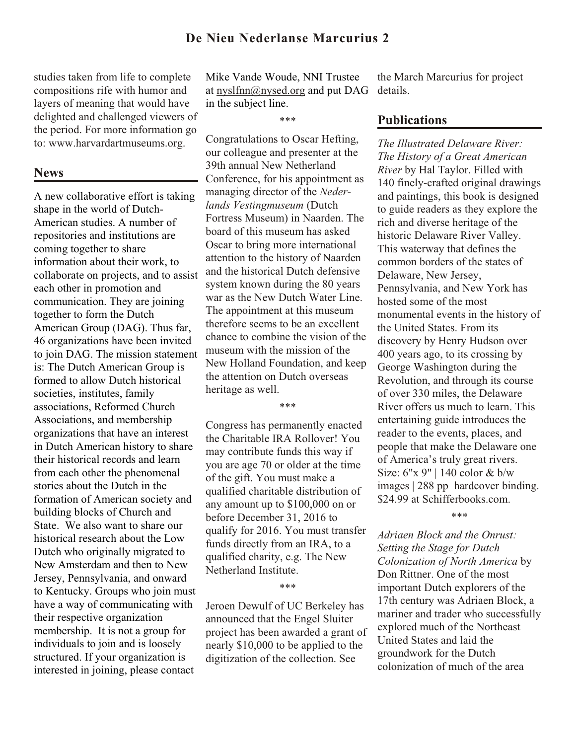studies taken from life to complete compositions rife with humor and layers of meaning that would have delighted and challenged viewers of the period. For more information go to: www.harvardartmuseums.org.

#### **News**

A new collaborative effort is taking shape in the world of Dutch-American studies. A number of repositories and institutions are coming together to share information about their work, to collaborate on projects, and to assist each other in promotion and communication. They are joining together to form the Dutch American Group (DAG). Thus far, 46 organizations have been invited to join DAG. The mission statement is: The Dutch American Group is formed to allow Dutch historical societies, institutes, family associations, Reformed Church Associations, and membership organizations that have an interest in Dutch American history to share their historical records and learn from each other the phenomenal stories about the Dutch in the formation of American society and building blocks of Church and State. We also want to share our historical research about the Low Dutch who originally migrated to New Amsterdam and then to New Jersey, Pennsylvania, and onward to Kentucky. Groups who join must have a way of communicating with their respective organization membership. It is not a group for individuals to join and is loosely structured. If your organization is interested in joining, please contact

Mike Vande Woude, NNI Trustee at [nyslfnn@nysed.org](mailto:nyslfnn@nysed.org) and put DAG in the subject line.

\*\*\*

Congratulations to Oscar Hefting, our colleague and presenter at the 39th annual New Netherland Conference, for his appointment as managing director of the *Nederlands Vestingmuseum* (Dutch Fortress Museum) in Naarden. The board of this museum has asked Oscar to bring more international attention to the history of Naarden and the historical Dutch defensive system known during the 80 years war as the New Dutch Water Line. The appointment at this museum therefore seems to be an excellent chance to combine the vision of the museum with the mission of the New Holland Foundation, and keep the attention on Dutch overseas heritage as well.

\*\*\*

Congress has permanently enacted the Charitable IRA Rollover! You may contribute funds this way if you are age 70 or older at the time of the gift. You must make a qualified charitable distribution of any amount up to \$100,000 on or before December 31, 2016 to qualify for 2016. You must transfer funds directly from an IRA, to a qualified charity, e.g. The New Netherland Institute.

#### \*\*\*

Jeroen Dewulf of UC Berkeley has announced that the Engel Sluiter project has been awarded a grant of nearly \$10,000 to be applied to the digitization of the collection. See

the March Marcurius for project details.

## **Publications**

*The Illustrated Delaware River: The History of a Great American River* by Hal Taylor. Filled with 140 finely-crafted original drawings and paintings, this book is designed to guide readers as they explore the rich and diverse heritage of the historic Delaware River Valley. This waterway that defines the common borders of the states of Delaware, New Jersey, Pennsylvania, and New York has hosted some of the most monumental events in the history of the United States. From its discovery by Henry Hudson over 400 years ago, to its crossing by George Washington during the Revolution, and through its course of over 330 miles, the Delaware River offers us much to learn. This entertaining guide introduces the reader to the events, places, and people that make the Delaware one of America's truly great rivers. Size: 6"x 9" | 140 color & b/w images | 288 pp hardcover binding. \$24.99 at Schifferbooks.com.

\*\*\*

*Adriaen Block and the Onrust: Setting the Stage for Dutch Colonization of North America* by Don Rittner. One of the most important Dutch explorers of the 17th century was Adriaen Block, a mariner and trader who successfully explored much of the Northeast United States and laid the groundwork for the Dutch colonization of much of the area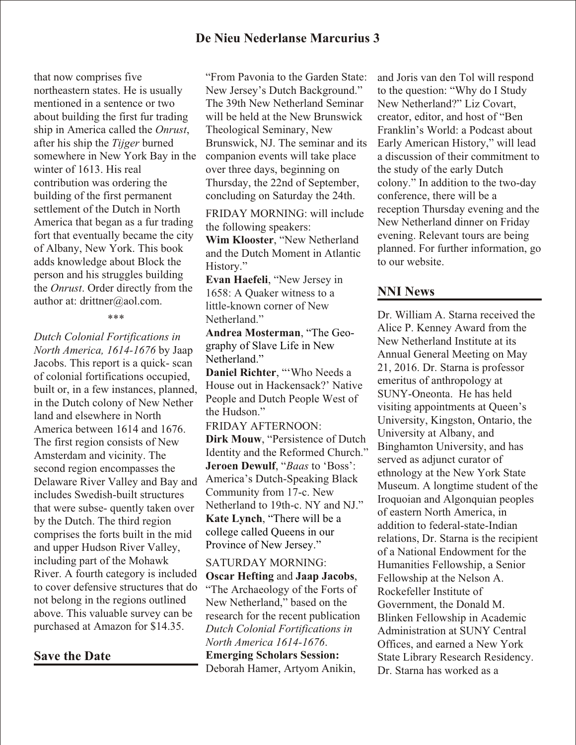that now comprises five northeastern states. He is usually mentioned in a sentence or two about building the first fur trading ship in America called the *Onrust*, after his ship the *Tijger* burned somewhere in New York Bay in the winter of 1613. His real contribution was ordering the building of the first permanent settlement of the Dutch in North America that began as a fur trading fort that eventually became the city of Albany, New York. This book adds knowledge about Block the person and his struggles building the *Onrust*. Order directly from the author at: drittner@aol.com.

#### \*\*\*

*Dutch Colonial Fortifications in North America, 1614-1676* by Jaap Jacobs. This report is a quick- scan of colonial fortifications occupied, built or, in a few instances, planned, in the Dutch colony of New Nether land and elsewhere in North America between 1614 and 1676. The first region consists of New Amsterdam and vicinity. The second region encompasses the Delaware River Valley and Bay and includes Swedish-built structures that were subse- quently taken over by the Dutch. The third region comprises the forts built in the mid and upper Hudson River Valley, including part of the Mohawk River. A fourth category is included to cover defensive structures that do not belong in the regions outlined above. This valuable survey can be purchased at Amazon for \$14.35.

**Save the Date**

"From Pavonia to the Garden State: New Jersey's Dutch Background." The 39th New Netherland Seminar will be held at the New Brunswick Theological Seminary, New Brunswick, NJ. The seminar and its companion events will take place over three days, beginning on Thursday, the 22nd of September, concluding on Saturday the 24th.

FRIDAY MORNING: will include the following speakers:

**Wim Klooster**, "New Netherland and the Dutch Moment in Atlantic History."

**Evan Haefeli**, "New Jersey in 1658: A Quaker witness to a little-known corner of New Netherland."

**Andrea Mosterman**, "The Geography of Slave Life in New Netherland."

**Daniel Richter**, "'Who Needs a House out in Hackensack?' Native People and Dutch People West of the Hudson."

FRIDAY AFTERNOON:

**Dirk Mouw**, "Persistence of Dutch Identity and the Reformed Church." **Jeroen Dewulf**, "*Baas* to 'Boss': America's Dutch-Speaking Black Community from 17-c. New Netherland to 19th-c. NY and NJ." **Kate Lynch**, "There will be a college called Queens in our Province of New Jersey."

SATURDAY MORNING: **Oscar Hefting** and **Jaap Jacobs**, "The Archaeology of the Forts of New Netherland," based on the research for the recent publication *Dutch Colonial Fortifications in North America 1614-1676*. **Emerging Scholars Session:** Deborah Hamer, Artyom Anikin,

and Joris van den Tol will respond to the question: "Why do I Study New Netherland?" Liz Covart, creator, editor, and host of "Ben Franklin's World: a Podcast about Early American History," will lead a discussion of their commitment to the study of the early Dutch colony." In addition to the two-day conference, there will be a reception Thursday evening and the New Netherland dinner on Friday evening. Relevant tours are being planned. For further information, go to our website.

## **NNI News**

Dr. William A. Starna received the Alice P. Kenney Award from the New Netherland Institute at its Annual General Meeting on May 21, 2016. Dr. Starna is professor emeritus of anthropology at SUNY-Oneonta. He has held visiting appointments at Queen's University, Kingston, Ontario, the University at Albany, and Binghamton University, and has served as adjunct curator of ethnology at the New York State Museum. A longtime student of the Iroquoian and Algonquian peoples of eastern North America, in addition to federal-state-Indian relations, Dr. Starna is the recipient of a National Endowment for the Humanities Fellowship, a Senior Fellowship at the Nelson A. Rockefeller Institute of Government, the Donald M. Blinken Fellowship in Academic Administration at SUNY Central Offices, and earned a New York State Library Research Residency. Dr. Starna has worked as a